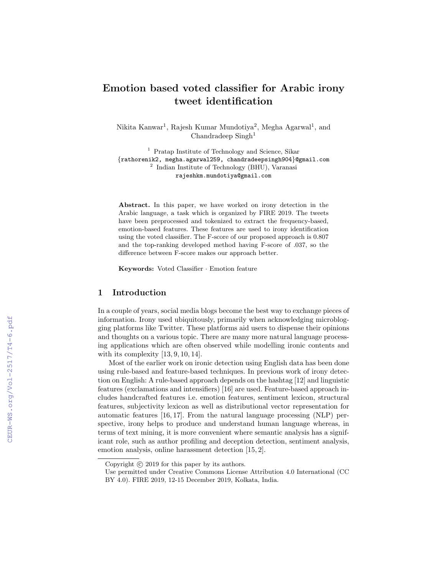# Emotion based voted classifier for Arabic irony tweet identification

Nikita Kanwar<sup>1</sup>, Rajesh Kumar Mundotiya<sup>2</sup>, Megha Agarwal<sup>1</sup>, and  $Chandra deep Singh<sup>1</sup>$ 

<sup>1</sup> Pratap Institute of Technology and Science, Sikar {rathorenik2, megha.agarwal259, chandradeepsingh904}@gmail.com 2 Indian Institute of Technology (BHU), Varanasi rajeshkm.mundotiya@gmail.com

Abstract. In this paper, we have worked on irony detection in the Arabic language, a task which is organized by FIRE 2019. The tweets have been preprocessed and tokenized to extract the frequency-based, emotion-based features. These features are used to irony identification using the voted classifier. The F-score of our proposed approach is 0.807 and the top-ranking developed method having F-score of .037, so the difference between F-score makes our approach better.

Keywords: Voted Classifier · Emotion feature

### 1 Introduction

In a couple of years, social media blogs become the best way to exchange pieces of information. Irony used ubiquitously, primarily when acknowledging microblogging platforms like Twitter. These platforms aid users to dispense their opinions and thoughts on a various topic. There are many more natural language processing applications which are often observed while modelling ironic contents and with its complexity  $[13, 9, 10, 14]$ .

Most of the earlier work on ironic detection using English data has been done using rule-based and feature-based techniques. In previous work of irony detection on English: A rule-based approach depends on the hashtag [12] and linguistic features (exclamations and intensifiers) [16] are used. Feature-based approach includes handcrafted features i.e. emotion features, sentiment lexicon, structural features, subjectivity lexicon as well as distributional vector representation for automatic features [16, 17]. From the natural language processing (NLP) perspective, irony helps to produce and understand human language whereas, in terms of text mining, it is more convenient where semantic analysis has a significant role, such as author profiling and deception detection, sentiment analysis, emotion analysis, online harassment detection [15, 2].

Copyright  $\odot$  2019 for this paper by its authors.

Use permitted under Creative Commons License Attribution 4.0 International (CC BY 4.0). FIRE 2019, 12-15 December 2019, Kolkata, India.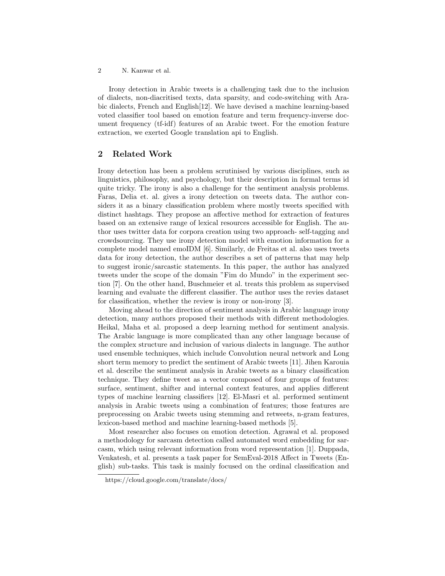2 N. Kanwar et al.

Irony detection in Arabic tweets is a challenging task due to the inclusion of dialects, non-diacritised texts, data sparsity, and code-switching with Arabic dialects, French and English[12]. We have devised a machine learning-based voted classifier tool based on emotion feature and term frequency-inverse document frequency (tf-idf) features of an Arabic tweet. For the emotion feature extraction, we exerted Google translation api to English.

# 2 Related Work

Irony detection has been a problem scrutinised by various disciplines, such as linguistics, philosophy, and psychology, but their description in formal terms id quite tricky. The irony is also a challenge for the sentiment analysis problems. Faras, Delia et. al. gives a irony detection on tweets data. The author considers it as a binary classification problem where mostly tweets specified with distinct hashtags. They propose an affective method for extraction of features based on an extensive range of lexical resources accessible for English. The author uses twitter data for corpora creation using two approach- self-tagging and crowdsourcing. They use irony detection model with emotion information for a complete model named emoIDM [6]. Similarly, de Freitas et al. also uses tweets data for irony detection, the author describes a set of patterns that may help to suggest ironic/sarcastic statements. In this paper, the author has analyzed tweets under the scope of the domain "Fim do Mundo" in the experiment section [7]. On the other hand, Buschmeier et al. treats this problem as supervised learning and evaluate the different classifier. The author uses the revies dataset for classification, whether the review is irony or non-irony [3].

Moving ahead to the direction of sentiment analysis in Arabic language irony detection, many authors proposed their methods with different methodologies. Heikal, Maha et al. proposed a deep learning method for sentiment analysis. The Arabic language is more complicated than any other language because of the complex structure and inclusion of various dialects in language. The author used ensemble techniques, which include Convolution neural network and Long short term memory to predict the sentiment of Arabic tweets [11]. Jihen Karouia et al. describe the sentiment analysis in Arabic tweets as a binary classification technique. They define tweet as a vector composed of four groups of features: surface, sentiment, shifter and internal context features, and applies different types of machine learning classifiers [12]. El-Masri et al. performed sentiment analysis in Arabic tweets using a combination of features; those features are preprocessing on Arabic tweets using stemming and retweets, n-gram features, lexicon-based method and machine learning-based methods [5].

Most researcher also focuses on emotion detection. Agrawal et al. proposed a methodology for sarcasm detection called automated word embedding for sarcasm, which using relevant information from word representation [1]. Duppada, Venkatesh, et al. presents a task paper for SemEval-2018 Affect in Tweets (English) sub-tasks. This task is mainly focused on the ordinal classification and

https://cloud.google.com/translate/docs/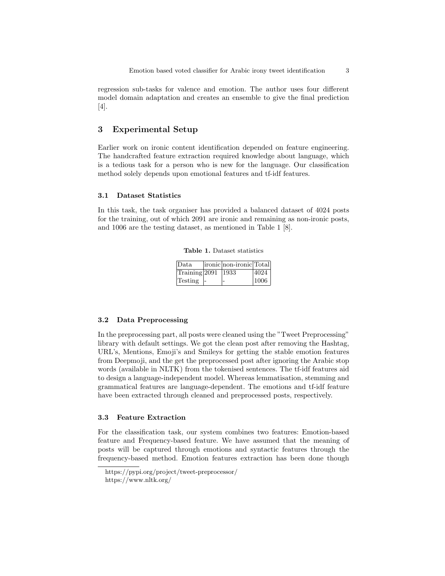regression sub-tasks for valence and emotion. The author uses four different model domain adaptation and creates an ensemble to give the final prediction [4].

## 3 Experimental Setup

Earlier work on ironic content identification depended on feature engineering. The handcrafted feature extraction required knowledge about language, which is a tedious task for a person who is new for the language. Our classification method solely depends upon emotional features and tf-idf features.

#### 3.1 Dataset Statistics

In this task, the task organiser has provided a balanced dataset of 4024 posts for the training, out of which 2091 are ironic and remaining as non-ironic posts, and 1006 are the testing dataset, as mentioned in Table 1 [8].

|  | <b>Table 1.</b> Dataset statistics |
|--|------------------------------------|
|  |                                    |

| Data                 | ironic non-ironic Total |      |
|----------------------|-------------------------|------|
| Training 2091   1933 |                         | 4024 |
| Testing -            |                         | 1006 |

#### 3.2 Data Preprocessing

In the preprocessing part, all posts were cleaned using the "Tweet Preprocessing" library with default settings. We got the clean post after removing the Hashtag, URL's, Mentions, Emoji's and Smileys for getting the stable emotion features from Deepmoji, and the get the preprocessed post after ignoring the Arabic stop words (available in NLTK) from the tokenised sentences. The tf-idf features aid to design a language-independent model. Whereas lemmatisation, stemming and grammatical features are language-dependent. The emotions and tf-idf feature have been extracted through cleaned and preprocessed posts, respectively.

#### 3.3 Feature Extraction

For the classification task, our system combines two features: Emotion-based feature and Frequency-based feature. We have assumed that the meaning of posts will be captured through emotions and syntactic features through the frequency-based method. Emotion features extraction has been done though

https://pypi.org/project/tweet-preprocessor/ https://www.nltk.org/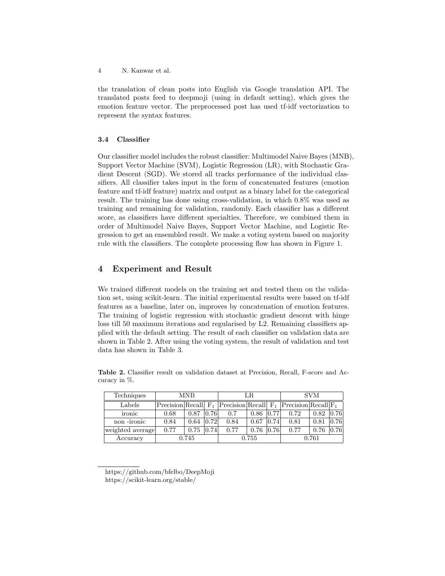4 N. Kanwar et al.

the translation of clean posts into English via Google translation API. The translated posts feed to deepmoji (using in default setting), which gives the emotion feature vector. The preprocessed post has used tf-idf vectorization to represent the syntax features.

#### 3.4 Classifier

Our classifier model includes the robust classifier: Multimodel Naive Bayes (MNB), Support Vector Machine (SVM), Logistic Regression (LR), with Stochastic Gradient Descent (SGD). We stored all tracks performance of the individual classifiers. All classifier takes input in the form of concatenated features (emotion feature and tf-idf feature) matrix and output as a binary label for the categorical result. The training has done using cross-validation, in which 0.8% was used as training and remaining for validation, randomly. Each classifier has a different score, as classifiers have different specialties. Therefore, we combined them in order of Multimodel Naive Bayes, Support Vector Machine, and Logistic Regression to get an ensembled result. We make a voting system based on majority rule with the classifiers. The complete processing flow has shown in Figure 1.

# 4 Experiment and Result

We trained different models on the training set and tested them on the validation set, using scikit-learn. The initial experimental results were based on tf-idf features as a baseline, later on, improves by concatenation of emotion features. The training of logistic regression with stochastic gradient descent with hinge loss till 50 maximum iterations and regularised by L2. Remaining classifiers applied with the default setting. The result of each classifier on validation data are shown in Table 2. After using the voting system, the result of validation and test data has shown in Table 3.

| Techniques       | <b>MNB</b> |      | LR    |                                                                      |       | <b>SVM</b> |      |      |      |
|------------------|------------|------|-------|----------------------------------------------------------------------|-------|------------|------|------|------|
| Labels           |            |      |       | Precision Recall $F_1$ Precision Recall $F_1$ Precision Recall $F_1$ |       |            |      |      |      |
| ironic           | 0.68       | 0.87 | 0.76  | 0.7                                                                  | 0.86  | (0.77)     | 0.72 | 0.82 | 0.76 |
| non-ironic       | 0.84       | 0.64 | 0.72  | 0.84                                                                 | 0.67  | 0.74       | 0.81 | 0.81 | 0.76 |
| weighted average | 0.77       | 0.75 | 0.74  | 0.77                                                                 | 0.76  | 0.76       | 0.77 | 0.76 | 0.76 |
| Accuracy         | 0.745      |      | 0.755 |                                                                      | 0.761 |            |      |      |      |

Table 2. Classifier result on validation dataset at Precision, Recall, F-score and Accuracy in %.

https://github.com/bfelbo/DeepMoji https://scikit-learn.org/stable/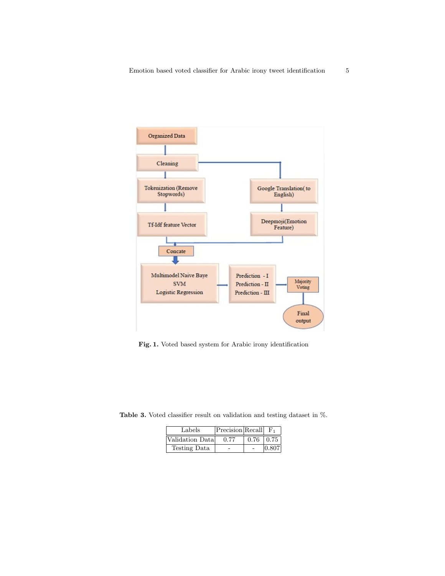

Fig. 1. Voted based system for Arabic irony identification

Table 3. Voted classifier result on validation and testing dataset in %.

| Labels           | Precision Recall |      | $\mathbf{F}_1$ |
|------------------|------------------|------|----------------|
| Validation Datal | 0.77             | 0.76 | $\pm 0.75$     |
| Testing Data     |                  |      | 0.807          |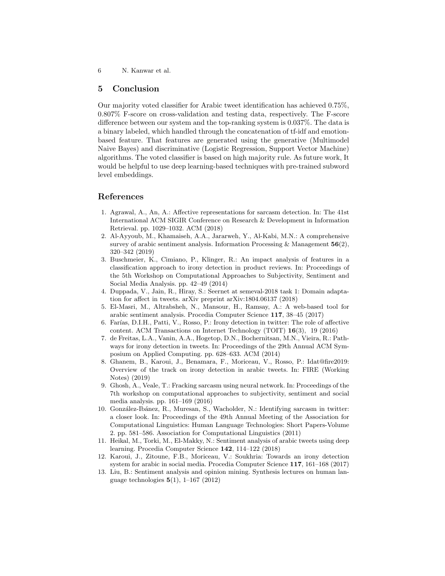6 N. Kanwar et al.

## 5 Conclusion

Our majority voted classifier for Arabic tweet identification has achieved 0.75%, 0.807% F-score on cross-validation and testing data, respectively. The F-score difference between our system and the top-ranking system is 0.037%. The data is a binary labeled, which handled through the concatenation of tf-idf and emotionbased feature. That features are generated using the generative (Multimodel Naive Bayes) and discriminative (Logistic Regression, Support Vector Machine) algorithms. The voted classifier is based on high majority rule. As future work, It would be helpful to use deep learning-based techniques with pre-trained subword level embeddings.

## References

- 1. Agrawal, A., An, A.: Affective representations for sarcasm detection. In: The 41st International ACM SIGIR Conference on Research & Development in Information Retrieval. pp. 1029–1032. ACM (2018)
- 2. Al-Ayyoub, M., Khamaiseh, A.A., Jararweh, Y., Al-Kabi, M.N.: A comprehensive survey of arabic sentiment analysis. Information Processing & Management  $56(2)$ , 320–342 (2019)
- 3. Buschmeier, K., Cimiano, P., Klinger, R.: An impact analysis of features in a classification approach to irony detection in product reviews. In: Proceedings of the 5th Workshop on Computational Approaches to Subjectivity, Sentiment and Social Media Analysis. pp. 42–49 (2014)
- 4. Duppada, V., Jain, R., Hiray, S.: Seernet at semeval-2018 task 1: Domain adaptation for affect in tweets. arXiv preprint arXiv:1804.06137 (2018)
- 5. El-Masri, M., Altrabsheh, N., Mansour, H., Ramsay, A.: A web-based tool for arabic sentiment analysis. Procedia Computer Science 117, 38–45 (2017)
- 6. Farías, D.I.H., Patti, V., Rosso, P.: Irony detection in twitter: The role of affective content. ACM Transactions on Internet Technology (TOIT) 16(3), 19 (2016)
- 7. de Freitas, L.A., Vanin, A.A., Hogetop, D.N., Bochernitsan, M.N., Vieira, R.: Pathways for irony detection in tweets. In: Proceedings of the 29th Annual ACM Symposium on Applied Computing. pp. 628–633. ACM (2014)
- 8. Ghanem, B., Karoui, J., Benamara, F., Moriceau, V., Rosso, P.: Idat@fire2019: Overview of the track on irony detection in arabic tweets. In: FIRE (Working Notes) (2019)
- 9. Ghosh, A., Veale, T.: Fracking sarcasm using neural network. In: Proceedings of the 7th workshop on computational approaches to subjectivity, sentiment and social media analysis. pp. 161–169 (2016)
- 10. González-Ibánez, R., Muresan, S., Wacholder, N.: Identifying sarcasm in twitter: a closer look. In: Proceedings of the 49th Annual Meeting of the Association for Computational Linguistics: Human Language Technologies: Short Papers-Volume 2. pp. 581–586. Association for Computational Linguistics (2011)
- 11. Heikal, M., Torki, M., El-Makky, N.: Sentiment analysis of arabic tweets using deep learning. Procedia Computer Science 142, 114–122 (2018)
- 12. Karoui, J., Zitoune, F.B., Moriceau, V.: Soukhria: Towards an irony detection system for arabic in social media. Procedia Computer Science 117, 161–168 (2017)
- 13. Liu, B.: Sentiment analysis and opinion mining. Synthesis lectures on human language technologies  $5(1)$ , 1–167 (2012)